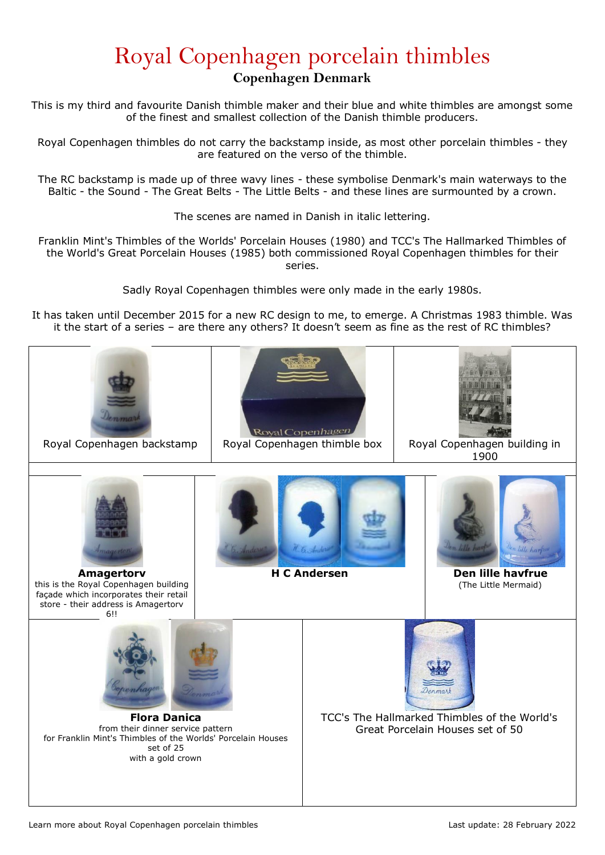## Royal Copenhagen porcelain thimbles **Copenhagen Denmark**

This is my third and favourite Danish thimble maker and their blue and white thimbles are amongst some of the finest and smallest collection of the Danish thimble producers.

Royal Copenhagen thimbles do not carry the backstamp inside, as most other porcelain thimbles - they are featured on the verso of the thimble.

The RC backstamp is made up of three wavy lines - these symbolise Denmark's main waterways to the Baltic - the Sound - The Great Belts - The Little Belts - and these lines are surmounted by a crown.

The scenes are named in Danish in italic lettering.

Franklin Mint's Thimbles of the Worlds' Porcelain Houses (1980) and TCC's The Hallmarked Thimbles of the World's Great Porcelain Houses (1985) both commissioned Royal Copenhagen thimbles for their series.

Sadly Royal Copenhagen thimbles were only made in the early 1980s.

It has taken until December 2015 for a new RC design to me, to emerge. A Christmas 1983 thimble. Was it the start of a series – are there any others? It doesn't seem as fine as the rest of RC thimbles?